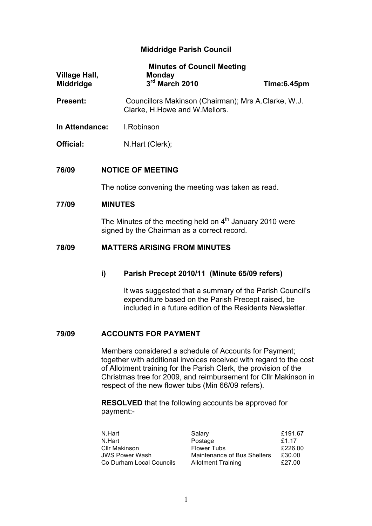# **Middridge Parish Council**

| <b>Village Hall,</b><br><b>Middridge</b> |                                                                                                           | <b>Minutes of Council Meeting</b><br><b>Monday</b><br>$3rd$ March 2010                                                                                                     | Time:6.45pm |  |  |
|------------------------------------------|-----------------------------------------------------------------------------------------------------------|----------------------------------------------------------------------------------------------------------------------------------------------------------------------------|-------------|--|--|
| <b>Present:</b>                          |                                                                                                           | Councillors Makinson (Chairman); Mrs A.Clarke, W.J.<br>Clarke, H.Howe and W.Mellors.                                                                                       |             |  |  |
| In Attendance:                           |                                                                                                           | <b>I.Robinson</b>                                                                                                                                                          |             |  |  |
| Official:                                |                                                                                                           | N.Hart (Clerk);                                                                                                                                                            |             |  |  |
| 76/09                                    |                                                                                                           | <b>NOTICE OF MEETING</b>                                                                                                                                                   |             |  |  |
|                                          |                                                                                                           | The notice convening the meeting was taken as read.                                                                                                                        |             |  |  |
| 77/09                                    | <b>MINUTES</b>                                                                                            |                                                                                                                                                                            |             |  |  |
|                                          | The Minutes of the meeting held on $4th$ January 2010 were<br>signed by the Chairman as a correct record. |                                                                                                                                                                            |             |  |  |
| 78/09                                    | <b>MATTERS ARISING FROM MINUTES</b>                                                                       |                                                                                                                                                                            |             |  |  |
|                                          | i)                                                                                                        | Parish Precept 2010/11 (Minute 65/09 refers)                                                                                                                               |             |  |  |
|                                          |                                                                                                           | It was suggested that a summary of the Parish Council's<br>expenditure based on the Parish Precept raised, be<br>included in a future edition of the Residents Newsletter. |             |  |  |
| 79/09                                    |                                                                                                           | <b>ACCOUNTS FOR PAYMENT</b>                                                                                                                                                |             |  |  |

Members considered a schedule of Accounts for Payment; together with additional invoices received with regard to the cost of Allotment training for the Parish Clerk, the provision of the Christmas tree for 2009, and reimbursement for Cllr Makinson in respect of the new flower tubs (Min 66/09 refers).

**RESOLVED** that the following accounts be approved for payment:-

| N.Hart                   | Salary                      | £191.67 |
|--------------------------|-----------------------------|---------|
| N.Hart                   | Postage                     | £1.17   |
| Cllr Makinson            | <b>Flower Tubs</b>          | £226.00 |
| <b>JWS Power Wash</b>    | Maintenance of Bus Shelters | £30.00  |
| Co Durham Local Councils | <b>Allotment Training</b>   | £27.00  |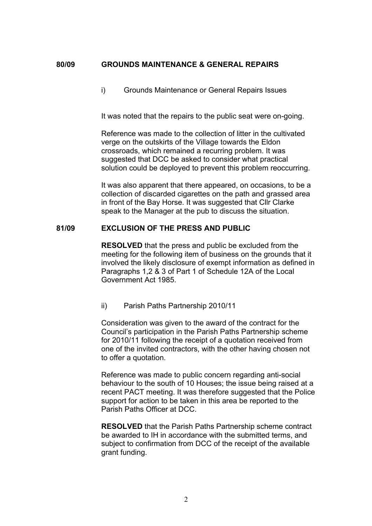## **80/09 GROUNDS MAINTENANCE & GENERAL REPAIRS**

i) Grounds Maintenance or General Repairs Issues

It was noted that the repairs to the public seat were on-going.

Reference was made to the collection of litter in the cultivated verge on the outskirts of the Village towards the Eldon crossroads, which remained a recurring problem. It was suggested that DCC be asked to consider what practical solution could be deployed to prevent this problem reoccurring.

It was also apparent that there appeared, on occasions, to be a collection of discarded cigarettes on the path and grassed area in front of the Bay Horse. It was suggested that Cllr Clarke speak to the Manager at the pub to discuss the situation.

#### **81/09 EXCLUSION OF THE PRESS AND PUBLIC**

**RESOLVED** that the press and public be excluded from the meeting for the following item of business on the grounds that it involved the likely disclosure of exempt information as defined in Paragraphs 1,2 & 3 of Part 1 of Schedule 12A of the Local Government Act 1985.

ii) Parish Paths Partnership 2010/11

Consideration was given to the award of the contract for the Council's participation in the Parish Paths Partnership scheme for 2010/11 following the receipt of a quotation received from one of the invited contractors, with the other having chosen not to offer a quotation.

Reference was made to public concern regarding anti-social behaviour to the south of 10 Houses; the issue being raised at a recent PACT meeting. It was therefore suggested that the Police support for action to be taken in this area be reported to the Parish Paths Officer at DCC.

**RESOLVED** that the Parish Paths Partnership scheme contract be awarded to IH in accordance with the submitted terms, and subject to confirmation from DCC of the receipt of the available grant funding.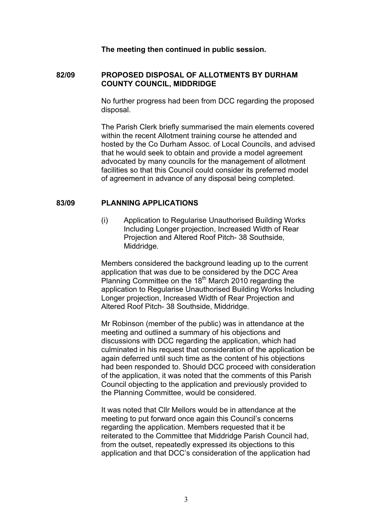**The meeting then continued in public session.**

## **82/09 PROPOSED DISPOSAL OF ALLOTMENTS BY DURHAM COUNTY COUNCIL, MIDDRIDGE**

No further progress had been from DCC regarding the proposed disposal.

The Parish Clerk briefly summarised the main elements covered within the recent Allotment training course he attended and hosted by the Co Durham Assoc. of Local Councils, and advised that he would seek to obtain and provide a model agreement advocated by many councils for the management of allotment facilities so that this Council could consider its preferred model of agreement in advance of any disposal being completed.

### **83/09 PLANNING APPLICATIONS**

(i) Application to Regularise Unauthorised Building Works Including Longer projection, Increased Width of Rear Projection and Altered Roof Pitch- 38 Southside, Middridge.

Members considered the background leading up to the current application that was due to be considered by the DCC Area Planning Committee on the  $18<sup>th</sup>$  March 2010 regarding the application to Regularise Unauthorised Building Works Including Longer projection, Increased Width of Rear Projection and Altered Roof Pitch- 38 Southside, Middridge.

Mr Robinson (member of the public) was in attendance at the meeting and outlined a summary of his objections and discussions with DCC regarding the application, which had culminated in his request that consideration of the application be again deferred until such time as the content of his objections had been responded to. Should DCC proceed with consideration of the application, it was noted that the comments of this Parish Council objecting to the application and previously provided to the Planning Committee, would be considered.

It was noted that Cllr Mellors would be in attendance at the meeting to put forward once again this Council's concerns regarding the application. Members requested that it be reiterated to the Committee that Middridge Parish Council had, from the outset, repeatedly expressed its objections to this application and that DCC's consideration of the application had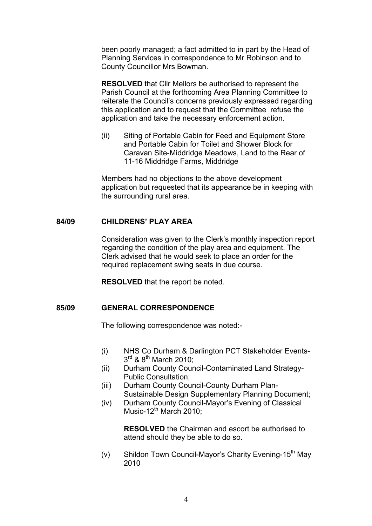been poorly managed; a fact admitted to in part by the Head of Planning Services in correspondence to Mr Robinson and to County Councillor Mrs Bowman.

**RESOLVED** that Cllr Mellors be authorised to represent the Parish Council at the forthcoming Area Planning Committee to reiterate the Council's concerns previously expressed regarding this application and to request that the Committee refuse the application and take the necessary enforcement action.

(ii) Siting of Portable Cabin for Feed and Equipment Store and Portable Cabin for Toilet and Shower Block for Caravan Site-Middridge Meadows, Land to the Rear of 11-16 Middridge Farms, Middridge

Members had no objections to the above development application but requested that its appearance be in keeping with the surrounding rural area.

## **84/09 CHILDRENS' PLAY AREA**

Consideration was given to the Clerk's monthly inspection report regarding the condition of the play area and equipment. The Clerk advised that he would seek to place an order for the required replacement swing seats in due course.

**RESOLVED** that the report be noted.

## **85/09 GENERAL CORRESPONDENCE**

The following correspondence was noted:-

- (i) NHS Co Durham & Darlington PCT Stakeholder Events- $3^{\text{rd}}$  &  $8^{\text{th}}$  March 2010:
- (ii) Durham County Council-Contaminated Land Strategy-Public Consultation;
- (iii) Durham County Council-County Durham Plan-Sustainable Design Supplementary Planning Document;
- (iv) Durham County Council-Mayor's Evening of Classical Music-12<sup>th</sup> March 2010:

**RESOLVED** the Chairman and escort be authorised to attend should they be able to do so.

(v) Shildon Town Council-Mayor's Charity Evening-15<sup>th</sup> May 2010